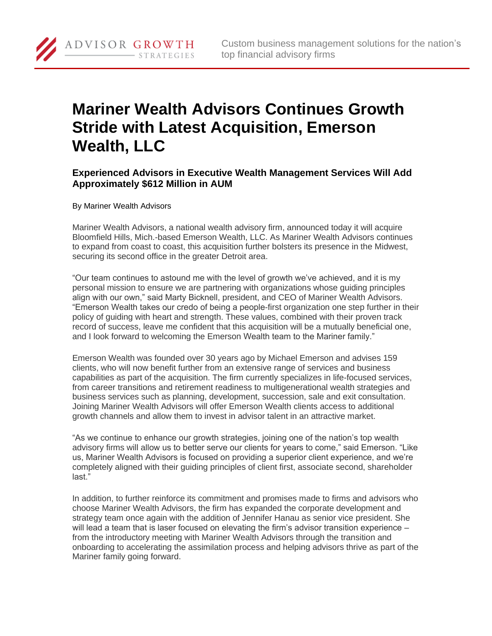## **Mariner Wealth Advisors Continues Growth Stride with Latest Acquisition, Emerson Wealth, LLC**

**Experienced Advisors in Executive Wealth Management Services Will Add Approximately \$612 Million in AUM**

By Mariner Wealth Advisors

ADVISOR GROWTH

STRATEGIES

Mariner Wealth Advisors, a national wealth advisory firm, announced today it will acquire Bloomfield Hills, Mich.-based Emerson Wealth, LLC. As Mariner Wealth Advisors continues to expand from coast to coast, this acquisition further bolsters its presence in the Midwest, securing its second office in the greater Detroit area.

"Our team continues to astound me with the level of growth we've achieved, and it is my personal mission to ensure we are partnering with organizations whose guiding principles align with our own," said Marty Bicknell, president, and CEO of Mariner Wealth Advisors. "Emerson Wealth takes our credo of being a people-first organization one step further in their policy of guiding with heart and strength. These values, combined with their proven track record of success, leave me confident that this acquisition will be a mutually beneficial one, and I look forward to welcoming the Emerson Wealth team to the Mariner family."

Emerson Wealth was founded over 30 years ago by Michael Emerson and advises 159 clients, who will now benefit further from an extensive range of services and business capabilities as part of the acquisition. The firm currently specializes in life-focused services, from career transitions and retirement readiness to multigenerational wealth strategies and business services such as planning, development, succession, sale and exit consultation. Joining Mariner Wealth Advisors will offer Emerson Wealth clients access to additional growth channels and allow them to invest in advisor talent in an attractive market.

"As we continue to enhance our growth strategies, joining one of the nation's top wealth advisory firms will allow us to better serve our clients for years to come," said Emerson. "Like us, Mariner Wealth Advisors is focused on providing a superior client experience, and we're completely aligned with their guiding principles of client first, associate second, shareholder last."

In addition, to further reinforce its commitment and promises made to firms and advisors who choose Mariner Wealth Advisors, the firm has expanded the corporate development and strategy team once again with the addition of Jennifer Hanau as senior vice president. She will lead a team that is laser focused on elevating the firm's advisor transition experience – from the introductory meeting with Mariner Wealth Advisors through the transition and onboarding to accelerating the assimilation process and helping advisors thrive as part of the Mariner family going forward.